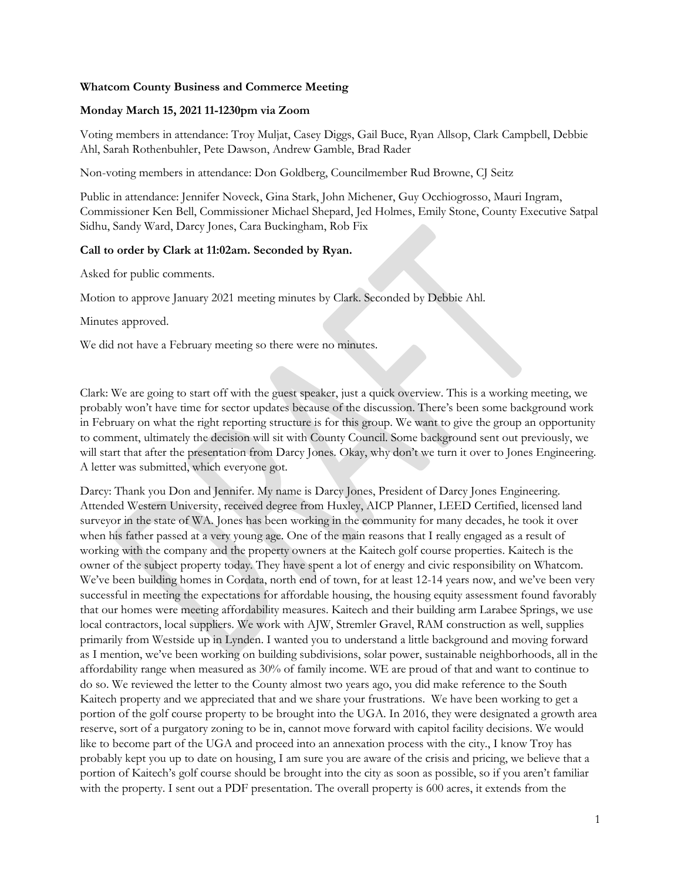## **Whatcom County Business and Commerce Meeting**

## **Monday March 15, 2021 11-1230pm via Zoom**

Voting members in attendance: Troy Muljat, Casey Diggs, Gail Buce, Ryan Allsop, Clark Campbell, Debbie Ahl, Sarah Rothenbuhler, Pete Dawson, Andrew Gamble, Brad Rader

Non-voting members in attendance: Don Goldberg, Councilmember Rud Browne, CJ Seitz

Public in attendance: Jennifer Noveck, Gina Stark, John Michener, Guy Occhiogrosso, Mauri Ingram, Commissioner Ken Bell, Commissioner Michael Shepard, Jed Holmes, Emily Stone, County Executive Satpal Sidhu, Sandy Ward, Darcy Jones, Cara Buckingham, Rob Fix

## **Call to order by Clark at 11:02am. Seconded by Ryan.**

Asked for public comments.

Motion to approve January 2021 meeting minutes by Clark. Seconded by Debbie Ahl.

Minutes approved.

We did not have a February meeting so there were no minutes.

Clark: We are going to start off with the guest speaker, just a quick overview. This is a working meeting, we probably won't have time for sector updates because of the discussion. There's been some background work in February on what the right reporting structure is for this group. We want to give the group an opportunity to comment, ultimately the decision will sit with County Council. Some background sent out previously, we will start that after the presentation from Darcy Jones. Okay, why don't we turn it over to Jones Engineering. A letter was submitted, which everyone got.

Darcy: Thank you Don and Jennifer. My name is Darcy Jones, President of Darcy Jones Engineering. Attended Western University, received degree from Huxley, AICP Planner, LEED Certified, licensed land surveyor in the state of WA. Jones has been working in the community for many decades, he took it over when his father passed at a very young age. One of the main reasons that I really engaged as a result of working with the company and the property owners at the Kaitech golf course properties. Kaitech is the owner of the subject property today. They have spent a lot of energy and civic responsibility on Whatcom. We've been building homes in Cordata, north end of town, for at least 12-14 years now, and we've been very successful in meeting the expectations for affordable housing, the housing equity assessment found favorably that our homes were meeting affordability measures. Kaitech and their building arm Larabee Springs, we use local contractors, local suppliers. We work with AJW, Stremler Gravel, RAM construction as well, supplies primarily from Westside up in Lynden. I wanted you to understand a little background and moving forward as I mention, we've been working on building subdivisions, solar power, sustainable neighborhoods, all in the affordability range when measured as 30% of family income. WE are proud of that and want to continue to do so. We reviewed the letter to the County almost two years ago, you did make reference to the South Kaitech property and we appreciated that and we share your frustrations. We have been working to get a portion of the golf course property to be brought into the UGA. In 2016, they were designated a growth area reserve, sort of a purgatory zoning to be in, cannot move forward with capitol facility decisions. We would like to become part of the UGA and proceed into an annexation process with the city., I know Troy has probably kept you up to date on housing, I am sure you are aware of the crisis and pricing, we believe that a portion of Kaitech's golf course should be brought into the city as soon as possible, so if you aren't familiar with the property. I sent out a PDF presentation. The overall property is 600 acres, it extends from the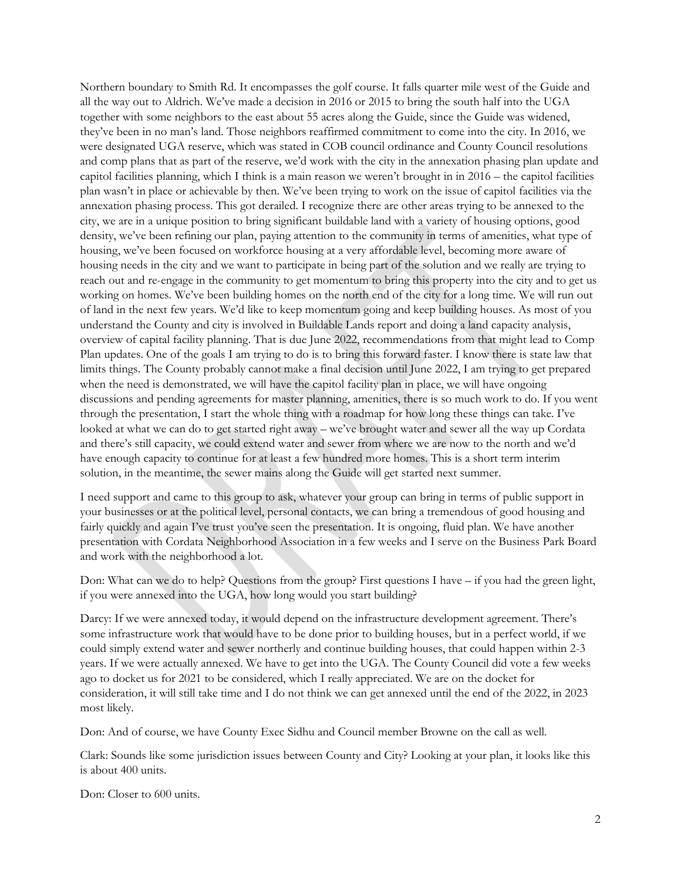Northern boundary to Smith Rd. It encompasses the golf course. It falls quarter mile west of the Guide and all the way out to Aldrich. We've made a decision in 2016 or 2015 to bring the south half into the UGA together with some neighbors to the east about 55 acres along the Guide, since the Guide was widened, they've been in no man's land. Those neighbors reaffirmed commitment to come into the city. In 2016, we were designated UGA reserve, which was stated in COB council ordinance and County Council resolutions and comp plans that as part of the reserve, we'd work with the city in the annexation phasing plan update and capitol facilities planning, which I think is a main reason we weren't brought in in 2016 – the capitol facilities plan wasn't in place or achievable by then. We've been trying to work on the issue of capitol facilities via the annexation phasing process. This got derailed. I recognize there are other areas trying to be annexed to the city, we are in a unique position to bring significant buildable land with a variety of housing options, good density, we've been refining our plan, paying attention to the community in terms of amenities, what type of housing, we've been focused on workforce housing at a very affordable level, becoming more aware of housing needs in the city and we want to participate in being part of the solution and we really are trying to reach out and re-engage in the community to get momentum to bring this property into the city and to get us working on homes. We've been building homes on the north end of the city for a long time. We will run out of land in the next few years. We'd like to keep momentum going and keep building houses. As most of you understand the County and city is involved in Buildable Lands report and doing a land capacity analysis, overview of capital facility planning. That is due June 2022, recommendations from that might lead to Comp Plan updates. One of the goals I am trying to do is to bring this forward faster. I know there is state law that limits things. The County probably cannot make a final decision until June 2022, I am trying to get prepared when the need is demonstrated, we will have the capitol facility plan in place, we will have ongoing discussions and pending agreements for master planning, amenities, there is so much work to do. If you went through the presentation, I start the whole thing with a roadmap for how long these things can take. I've looked at what we can do to get started right away – we've brought water and sewer all the way up Cordata and there's still capacity, we could extend water and sewer from where we are now to the north and we'd have enough capacity to continue for at least a few hundred more homes. This is a short term interim solution, in the meantime, the sewer mains along the Guide will get started next summer.

I need support and came to this group to ask, whatever your group can bring in terms of public support in your businesses or at the political level, personal contacts, we can bring a tremendous of good housing and fairly quickly and again I've trust you've seen the presentation. It is ongoing, fluid plan. We have another presentation with Cordata Neighborhood Association in a few weeks and I serve on the Business Park Board and work with the neighborhood a lot.

Don: What can we do to help? Questions from the group? First questions I have – if you had the green light, if you were annexed into the UGA, how long would you start building?

Darcy: If we were annexed today, it would depend on the infrastructure development agreement. There's some infrastructure work that would have to be done prior to building houses, but in a perfect world, if we could simply extend water and sewer northerly and continue building houses, that could happen within 2-3 years. If we were actually annexed. We have to get into the UGA. The County Council did vote a few weeks ago to docket us for 2021 to be considered, which I really appreciated. We are on the docket for consideration, it will still take time and I do not think we can get annexed until the end of the 2022, in 2023 most likely.

Don: And of course, we have County Exec Sidhu and Council member Browne on the call as well.

Clark: Sounds like some jurisdiction issues between County and City? Looking at your plan, it looks like this is about 400 units.

Don: Closer to 600 units.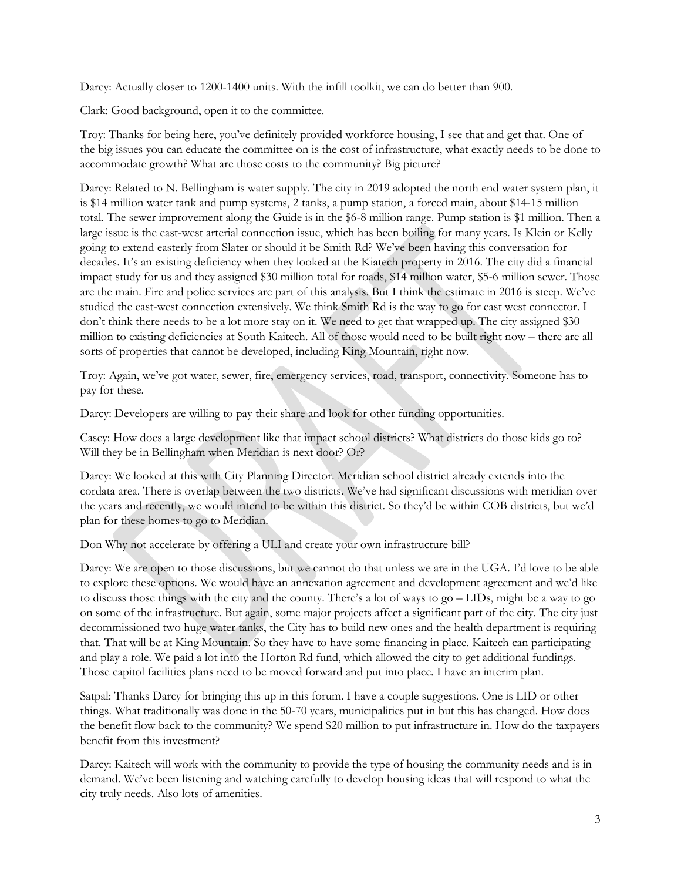Darcy: Actually closer to 1200-1400 units. With the infill toolkit, we can do better than 900.

Clark: Good background, open it to the committee.

Troy: Thanks for being here, you've definitely provided workforce housing, I see that and get that. One of the big issues you can educate the committee on is the cost of infrastructure, what exactly needs to be done to accommodate growth? What are those costs to the community? Big picture?

Darcy: Related to N. Bellingham is water supply. The city in 2019 adopted the north end water system plan, it is \$14 million water tank and pump systems, 2 tanks, a pump station, a forced main, about \$14-15 million total. The sewer improvement along the Guide is in the \$6-8 million range. Pump station is \$1 million. Then a large issue is the east-west arterial connection issue, which has been boiling for many years. Is Klein or Kelly going to extend easterly from Slater or should it be Smith Rd? We've been having this conversation for decades. It's an existing deficiency when they looked at the Kiatech property in 2016. The city did a financial impact study for us and they assigned \$30 million total for roads, \$14 million water, \$5-6 million sewer. Those are the main. Fire and police services are part of this analysis. But I think the estimate in 2016 is steep. We've studied the east-west connection extensively. We think Smith Rd is the way to go for east west connector. I don't think there needs to be a lot more stay on it. We need to get that wrapped up. The city assigned \$30 million to existing deficiencies at South Kaitech. All of those would need to be built right now – there are all sorts of properties that cannot be developed, including King Mountain, right now.

Troy: Again, we've got water, sewer, fire, emergency services, road, transport, connectivity. Someone has to pay for these.

Darcy: Developers are willing to pay their share and look for other funding opportunities.

Casey: How does a large development like that impact school districts? What districts do those kids go to? Will they be in Bellingham when Meridian is next door? Or?

Darcy: We looked at this with City Planning Director. Meridian school district already extends into the cordata area. There is overlap between the two districts. We've had significant discussions with meridian over the years and recently, we would intend to be within this district. So they'd be within COB districts, but we'd plan for these homes to go to Meridian.

Don Why not accelerate by offering a ULI and create your own infrastructure bill?

Darcy: We are open to those discussions, but we cannot do that unless we are in the UGA. I'd love to be able to explore these options. We would have an annexation agreement and development agreement and we'd like to discuss those things with the city and the county. There's a lot of ways to go – LIDs, might be a way to go on some of the infrastructure. But again, some major projects affect a significant part of the city. The city just decommissioned two huge water tanks, the City has to build new ones and the health department is requiring that. That will be at King Mountain. So they have to have some financing in place. Kaitech can participating and play a role. We paid a lot into the Horton Rd fund, which allowed the city to get additional fundings. Those capitol facilities plans need to be moved forward and put into place. I have an interim plan.

Satpal: Thanks Darcy for bringing this up in this forum. I have a couple suggestions. One is LID or other things. What traditionally was done in the 50-70 years, municipalities put in but this has changed. How does the benefit flow back to the community? We spend \$20 million to put infrastructure in. How do the taxpayers benefit from this investment?

Darcy: Kaitech will work with the community to provide the type of housing the community needs and is in demand. We've been listening and watching carefully to develop housing ideas that will respond to what the city truly needs. Also lots of amenities.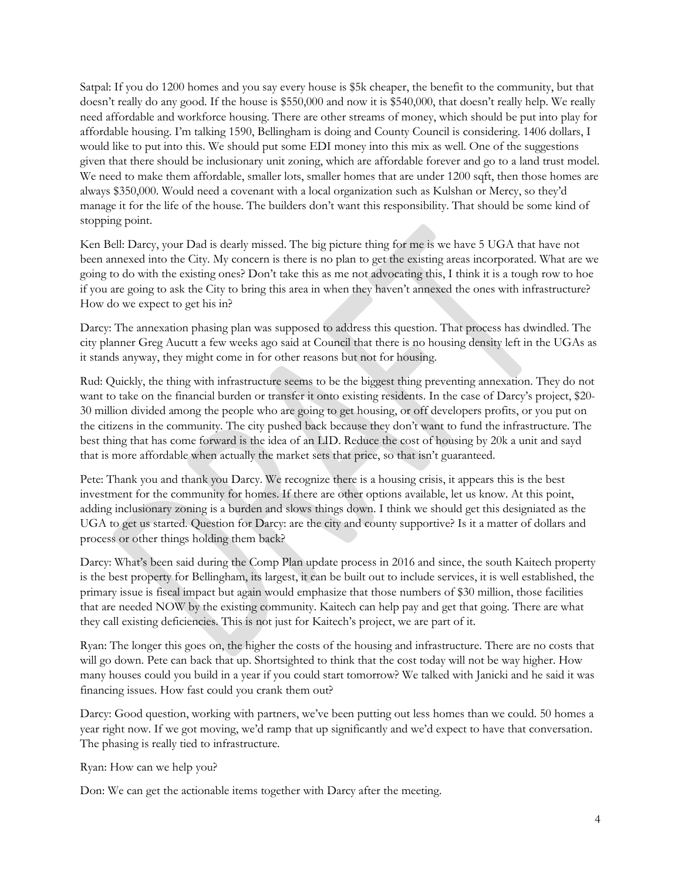Satpal: If you do 1200 homes and you say every house is \$5k cheaper, the benefit to the community, but that doesn't really do any good. If the house is \$550,000 and now it is \$540,000, that doesn't really help. We really need affordable and workforce housing. There are other streams of money, which should be put into play for affordable housing. I'm talking 1590, Bellingham is doing and County Council is considering. 1406 dollars, I would like to put into this. We should put some EDI money into this mix as well. One of the suggestions given that there should be inclusionary unit zoning, which are affordable forever and go to a land trust model. We need to make them affordable, smaller lots, smaller homes that are under 1200 sqft, then those homes are always \$350,000. Would need a covenant with a local organization such as Kulshan or Mercy, so they'd manage it for the life of the house. The builders don't want this responsibility. That should be some kind of stopping point.

Ken Bell: Darcy, your Dad is dearly missed. The big picture thing for me is we have 5 UGA that have not been annexed into the City. My concern is there is no plan to get the existing areas incorporated. What are we going to do with the existing ones? Don't take this as me not advocating this, I think it is a tough row to hoe if you are going to ask the City to bring this area in when they haven't annexed the ones with infrastructure? How do we expect to get his in?

Darcy: The annexation phasing plan was supposed to address this question. That process has dwindled. The city planner Greg Aucutt a few weeks ago said at Council that there is no housing density left in the UGAs as it stands anyway, they might come in for other reasons but not for housing.

Rud: Quickly, the thing with infrastructure seems to be the biggest thing preventing annexation. They do not want to take on the financial burden or transfer it onto existing residents. In the case of Darcy's project, \$20- 30 million divided among the people who are going to get housing, or off developers profits, or you put on the citizens in the community. The city pushed back because they don't want to fund the infrastructure. The best thing that has come forward is the idea of an LID. Reduce the cost of housing by 20k a unit and sayd that is more affordable when actually the market sets that price, so that isn't guaranteed.

Pete: Thank you and thank you Darcy. We recognize there is a housing crisis, it appears this is the best investment for the community for homes. If there are other options available, let us know. At this point, adding inclusionary zoning is a burden and slows things down. I think we should get this designiated as the UGA to get us started. Question for Darcy: are the city and county supportive? Is it a matter of dollars and process or other things holding them back?

Darcy: What's been said during the Comp Plan update process in 2016 and since, the south Kaitech property is the best property for Bellingham, its largest, it can be built out to include services, it is well established, the primary issue is fiscal impact but again would emphasize that those numbers of \$30 million, those facilities that are needed NOW by the existing community. Kaitech can help pay and get that going. There are what they call existing deficiencies. This is not just for Kaitech's project, we are part of it.

Ryan: The longer this goes on, the higher the costs of the housing and infrastructure. There are no costs that will go down. Pete can back that up. Shortsighted to think that the cost today will not be way higher. How many houses could you build in a year if you could start tomorrow? We talked with Janicki and he said it was financing issues. How fast could you crank them out?

Darcy: Good question, working with partners, we've been putting out less homes than we could. 50 homes a year right now. If we got moving, we'd ramp that up significantly and we'd expect to have that conversation. The phasing is really tied to infrastructure.

Ryan: How can we help you?

Don: We can get the actionable items together with Darcy after the meeting.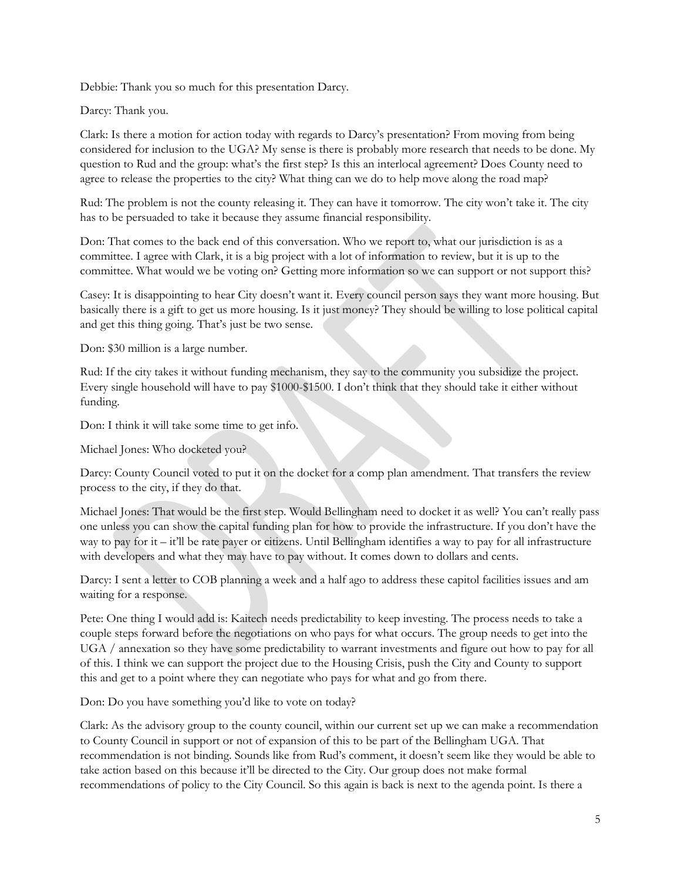Debbie: Thank you so much for this presentation Darcy.

Darcy: Thank you.

Clark: Is there a motion for action today with regards to Darcy's presentation? From moving from being considered for inclusion to the UGA? My sense is there is probably more research that needs to be done. My question to Rud and the group: what's the first step? Is this an interlocal agreement? Does County need to agree to release the properties to the city? What thing can we do to help move along the road map?

Rud: The problem is not the county releasing it. They can have it tomorrow. The city won't take it. The city has to be persuaded to take it because they assume financial responsibility.

Don: That comes to the back end of this conversation. Who we report to, what our jurisdiction is as a committee. I agree with Clark, it is a big project with a lot of information to review, but it is up to the committee. What would we be voting on? Getting more information so we can support or not support this?

Casey: It is disappointing to hear City doesn't want it. Every council person says they want more housing. But basically there is a gift to get us more housing. Is it just money? They should be willing to lose political capital and get this thing going. That's just be two sense.

Don: \$30 million is a large number.

Rud: If the city takes it without funding mechanism, they say to the community you subsidize the project. Every single household will have to pay \$1000-\$1500. I don't think that they should take it either without funding.

Don: I think it will take some time to get info.

Michael Jones: Who docketed you?

Darcy: County Council voted to put it on the docket for a comp plan amendment. That transfers the review process to the city, if they do that.

Michael Jones: That would be the first step. Would Bellingham need to docket it as well? You can't really pass one unless you can show the capital funding plan for how to provide the infrastructure. If you don't have the way to pay for it – it'll be rate payer or citizens. Until Bellingham identifies a way to pay for all infrastructure with developers and what they may have to pay without. It comes down to dollars and cents.

Darcy: I sent a letter to COB planning a week and a half ago to address these capitol facilities issues and am waiting for a response.

Pete: One thing I would add is: Kaitech needs predictability to keep investing. The process needs to take a couple steps forward before the negotiations on who pays for what occurs. The group needs to get into the UGA / annexation so they have some predictability to warrant investments and figure out how to pay for all of this. I think we can support the project due to the Housing Crisis, push the City and County to support this and get to a point where they can negotiate who pays for what and go from there.

Don: Do you have something you'd like to vote on today?

Clark: As the advisory group to the county council, within our current set up we can make a recommendation to County Council in support or not of expansion of this to be part of the Bellingham UGA. That recommendation is not binding. Sounds like from Rud's comment, it doesn't seem like they would be able to take action based on this because it'll be directed to the City. Our group does not make formal recommendations of policy to the City Council. So this again is back is next to the agenda point. Is there a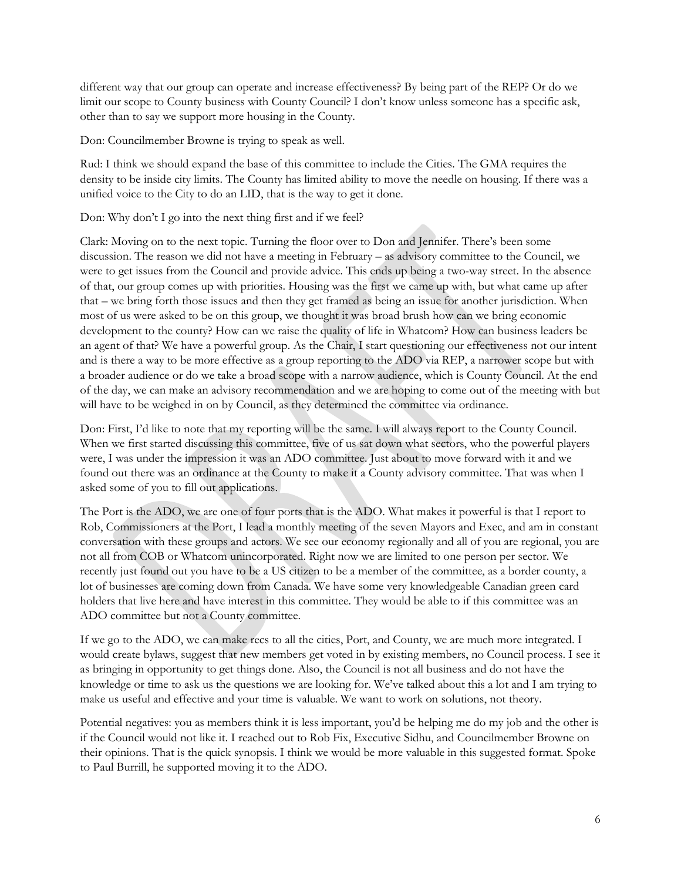different way that our group can operate and increase effectiveness? By being part of the REP? Or do we limit our scope to County business with County Council? I don't know unless someone has a specific ask, other than to say we support more housing in the County.

Don: Councilmember Browne is trying to speak as well.

Rud: I think we should expand the base of this committee to include the Cities. The GMA requires the density to be inside city limits. The County has limited ability to move the needle on housing. If there was a unified voice to the City to do an LID, that is the way to get it done.

Don: Why don't I go into the next thing first and if we feel?

Clark: Moving on to the next topic. Turning the floor over to Don and Jennifer. There's been some discussion. The reason we did not have a meeting in February – as advisory committee to the Council, we were to get issues from the Council and provide advice. This ends up being a two-way street. In the absence of that, our group comes up with priorities. Housing was the first we came up with, but what came up after that – we bring forth those issues and then they get framed as being an issue for another jurisdiction. When most of us were asked to be on this group, we thought it was broad brush how can we bring economic development to the county? How can we raise the quality of life in Whatcom? How can business leaders be an agent of that? We have a powerful group. As the Chair, I start questioning our effectiveness not our intent and is there a way to be more effective as a group reporting to the ADO via REP, a narrower scope but with a broader audience or do we take a broad scope with a narrow audience, which is County Council. At the end of the day, we can make an advisory recommendation and we are hoping to come out of the meeting with but will have to be weighed in on by Council, as they determined the committee via ordinance.

Don: First, I'd like to note that my reporting will be the same. I will always report to the County Council. When we first started discussing this committee, five of us sat down what sectors, who the powerful players were, I was under the impression it was an ADO committee. Just about to move forward with it and we found out there was an ordinance at the County to make it a County advisory committee. That was when I asked some of you to fill out applications.

The Port is the ADO, we are one of four ports that is the ADO. What makes it powerful is that I report to Rob, Commissioners at the Port, I lead a monthly meeting of the seven Mayors and Exec, and am in constant conversation with these groups and actors. We see our economy regionally and all of you are regional, you are not all from COB or Whatcom unincorporated. Right now we are limited to one person per sector. We recently just found out you have to be a US citizen to be a member of the committee, as a border county, a lot of businesses are coming down from Canada. We have some very knowledgeable Canadian green card holders that live here and have interest in this committee. They would be able to if this committee was an ADO committee but not a County committee.

If we go to the ADO, we can make recs to all the cities, Port, and County, we are much more integrated. I would create bylaws, suggest that new members get voted in by existing members, no Council process. I see it as bringing in opportunity to get things done. Also, the Council is not all business and do not have the knowledge or time to ask us the questions we are looking for. We've talked about this a lot and I am trying to make us useful and effective and your time is valuable. We want to work on solutions, not theory.

Potential negatives: you as members think it is less important, you'd be helping me do my job and the other is if the Council would not like it. I reached out to Rob Fix, Executive Sidhu, and Councilmember Browne on their opinions. That is the quick synopsis. I think we would be more valuable in this suggested format. Spoke to Paul Burrill, he supported moving it to the ADO.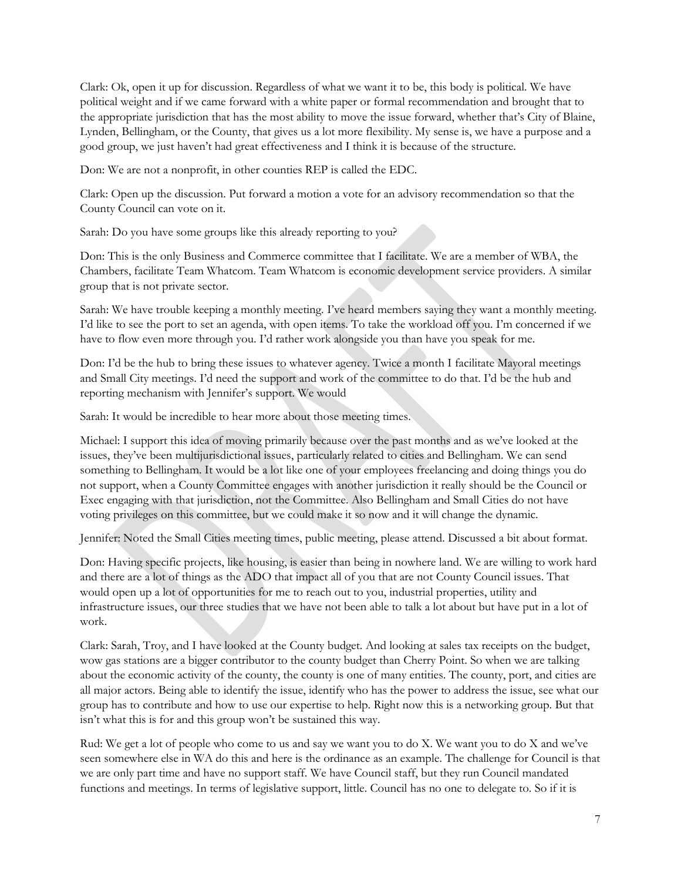Clark: Ok, open it up for discussion. Regardless of what we want it to be, this body is political. We have political weight and if we came forward with a white paper or formal recommendation and brought that to the appropriate jurisdiction that has the most ability to move the issue forward, whether that's City of Blaine, Lynden, Bellingham, or the County, that gives us a lot more flexibility. My sense is, we have a purpose and a good group, we just haven't had great effectiveness and I think it is because of the structure.

Don: We are not a nonprofit, in other counties REP is called the EDC.

Clark: Open up the discussion. Put forward a motion a vote for an advisory recommendation so that the County Council can vote on it.

Sarah: Do you have some groups like this already reporting to you?

Don: This is the only Business and Commerce committee that I facilitate. We are a member of WBA, the Chambers, facilitate Team Whatcom. Team Whatcom is economic development service providers. A similar group that is not private sector.

Sarah: We have trouble keeping a monthly meeting. I've heard members saying they want a monthly meeting. I'd like to see the port to set an agenda, with open items. To take the workload off you. I'm concerned if we have to flow even more through you. I'd rather work alongside you than have you speak for me.

Don: I'd be the hub to bring these issues to whatever agency. Twice a month I facilitate Mayoral meetings and Small City meetings. I'd need the support and work of the committee to do that. I'd be the hub and reporting mechanism with Jennifer's support. We would

Sarah: It would be incredible to hear more about those meeting times.

Michael: I support this idea of moving primarily because over the past months and as we've looked at the issues, they've been multijurisdictional issues, particularly related to cities and Bellingham. We can send something to Bellingham. It would be a lot like one of your employees freelancing and doing things you do not support, when a County Committee engages with another jurisdiction it really should be the Council or Exec engaging with that jurisdiction, not the Committee. Also Bellingham and Small Cities do not have voting privileges on this committee, but we could make it so now and it will change the dynamic.

Jennifer: Noted the Small Cities meeting times, public meeting, please attend. Discussed a bit about format.

Don: Having specific projects, like housing, is easier than being in nowhere land. We are willing to work hard and there are a lot of things as the ADO that impact all of you that are not County Council issues. That would open up a lot of opportunities for me to reach out to you, industrial properties, utility and infrastructure issues, our three studies that we have not been able to talk a lot about but have put in a lot of work.

Clark: Sarah, Troy, and I have looked at the County budget. And looking at sales tax receipts on the budget, wow gas stations are a bigger contributor to the county budget than Cherry Point. So when we are talking about the economic activity of the county, the county is one of many entities. The county, port, and cities are all major actors. Being able to identify the issue, identify who has the power to address the issue, see what our group has to contribute and how to use our expertise to help. Right now this is a networking group. But that isn't what this is for and this group won't be sustained this way.

Rud: We get a lot of people who come to us and say we want you to do X. We want you to do X and we've seen somewhere else in WA do this and here is the ordinance as an example. The challenge for Council is that we are only part time and have no support staff. We have Council staff, but they run Council mandated functions and meetings. In terms of legislative support, little. Council has no one to delegate to. So if it is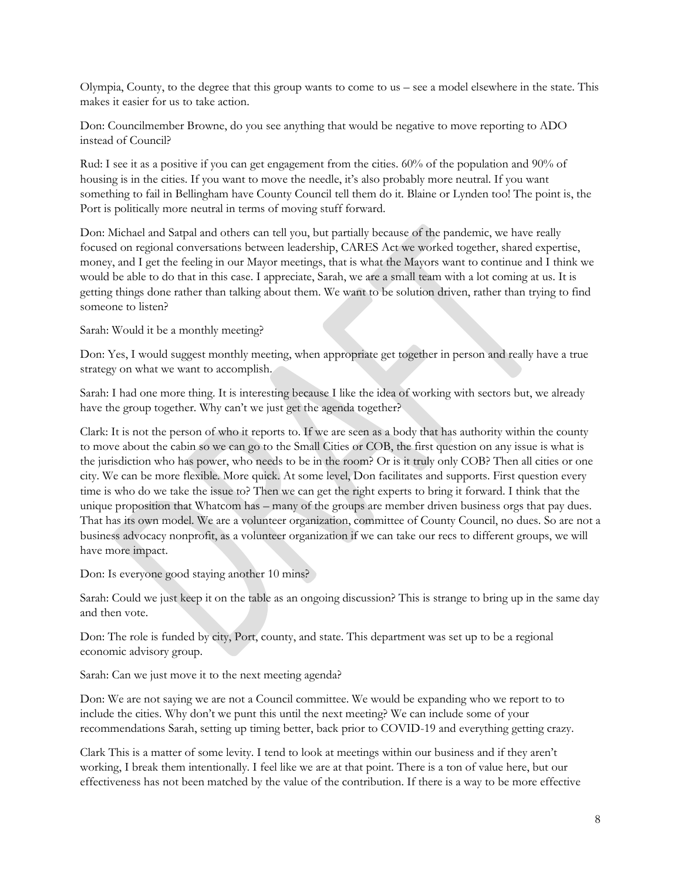Olympia, County, to the degree that this group wants to come to us – see a model elsewhere in the state. This makes it easier for us to take action.

Don: Councilmember Browne, do you see anything that would be negative to move reporting to ADO instead of Council?

Rud: I see it as a positive if you can get engagement from the cities. 60% of the population and 90% of housing is in the cities. If you want to move the needle, it's also probably more neutral. If you want something to fail in Bellingham have County Council tell them do it. Blaine or Lynden too! The point is, the Port is politically more neutral in terms of moving stuff forward.

Don: Michael and Satpal and others can tell you, but partially because of the pandemic, we have really focused on regional conversations between leadership, CARES Act we worked together, shared expertise, money, and I get the feeling in our Mayor meetings, that is what the Mayors want to continue and I think we would be able to do that in this case. I appreciate, Sarah, we are a small team with a lot coming at us. It is getting things done rather than talking about them. We want to be solution driven, rather than trying to find someone to listen?

Sarah: Would it be a monthly meeting?

Don: Yes, I would suggest monthly meeting, when appropriate get together in person and really have a true strategy on what we want to accomplish.

Sarah: I had one more thing. It is interesting because I like the idea of working with sectors but, we already have the group together. Why can't we just get the agenda together?

Clark: It is not the person of who it reports to. If we are seen as a body that has authority within the county to move about the cabin so we can go to the Small Cities or COB, the first question on any issue is what is the jurisdiction who has power, who needs to be in the room? Or is it truly only COB? Then all cities or one city. We can be more flexible. More quick. At some level, Don facilitates and supports. First question every time is who do we take the issue to? Then we can get the right experts to bring it forward. I think that the unique proposition that Whatcom has – many of the groups are member driven business orgs that pay dues. That has its own model. We are a volunteer organization, committee of County Council, no dues. So are not a business advocacy nonprofit, as a volunteer organization if we can take our recs to different groups, we will have more impact.

Don: Is everyone good staying another 10 mins?

Sarah: Could we just keep it on the table as an ongoing discussion? This is strange to bring up in the same day and then vote.

Don: The role is funded by city, Port, county, and state. This department was set up to be a regional economic advisory group.

Sarah: Can we just move it to the next meeting agenda?

Don: We are not saying we are not a Council committee. We would be expanding who we report to to include the cities. Why don't we punt this until the next meeting? We can include some of your recommendations Sarah, setting up timing better, back prior to COVID-19 and everything getting crazy.

Clark This is a matter of some levity. I tend to look at meetings within our business and if they aren't working, I break them intentionally. I feel like we are at that point. There is a ton of value here, but our effectiveness has not been matched by the value of the contribution. If there is a way to be more effective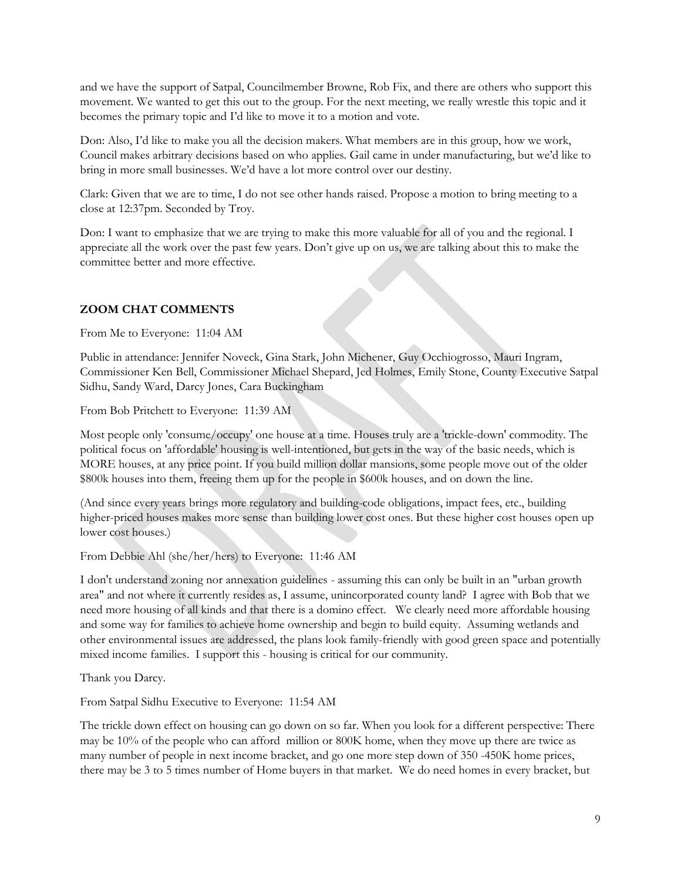and we have the support of Satpal, Councilmember Browne, Rob Fix, and there are others who support this movement. We wanted to get this out to the group. For the next meeting, we really wrestle this topic and it becomes the primary topic and I'd like to move it to a motion and vote.

Don: Also, I'd like to make you all the decision makers. What members are in this group, how we work, Council makes arbitrary decisions based on who applies. Gail came in under manufacturing, but we'd like to bring in more small businesses. We'd have a lot more control over our destiny.

Clark: Given that we are to time, I do not see other hands raised. Propose a motion to bring meeting to a close at 12:37pm. Seconded by Troy.

Don: I want to emphasize that we are trying to make this more valuable for all of you and the regional. I appreciate all the work over the past few years. Don't give up on us, we are talking about this to make the committee better and more effective.

## **ZOOM CHAT COMMENTS**

From Me to Everyone: 11:04 AM

Public in attendance: Jennifer Noveck, Gina Stark, John Michener, Guy Occhiogrosso, Mauri Ingram, Commissioner Ken Bell, Commissioner Michael Shepard, Jed Holmes, Emily Stone, County Executive Satpal Sidhu, Sandy Ward, Darcy Jones, Cara Buckingham

From Bob Pritchett to Everyone: 11:39 AM

Most people only 'consume/occupy' one house at a time. Houses truly are a 'trickle-down' commodity. The political focus on 'affordable' housing is well-intentioned, but gets in the way of the basic needs, which is MORE houses, at any price point. If you build million dollar mansions, some people move out of the older \$800k houses into them, freeing them up for the people in \$600k houses, and on down the line.

(And since every years brings more regulatory and building-code obligations, impact fees, etc., building higher-priced houses makes more sense than building lower cost ones. But these higher cost houses open up lower cost houses.)

From Debbie Ahl (she/her/hers) to Everyone: 11:46 AM

I don't understand zoning nor annexation guidelines - assuming this can only be built in an "urban growth area" and not where it currently resides as, I assume, unincorporated county land? I agree with Bob that we need more housing of all kinds and that there is a domino effect. We clearly need more affordable housing and some way for families to achieve home ownership and begin to build equity. Assuming wetlands and other environmental issues are addressed, the plans look family-friendly with good green space and potentially mixed income families. I support this - housing is critical for our community.

Thank you Darcy.

From Satpal Sidhu Executive to Everyone: 11:54 AM

The trickle down effect on housing can go down on so far. When you look for a different perspective: There may be 10% of the people who can afford million or 800K home, when they move up there are twice as many number of people in next income bracket, and go one more step down of 350 -450K home prices, there may be 3 to 5 times number of Home buyers in that market. We do need homes in every bracket, but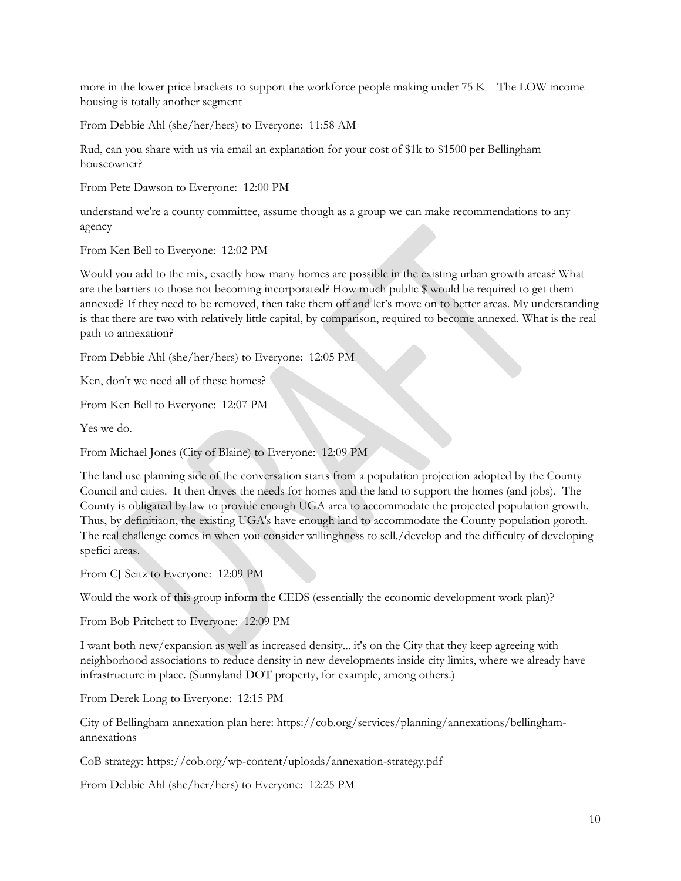more in the lower price brackets to support the workforce people making under 75 K The LOW income housing is totally another segment

From Debbie Ahl (she/her/hers) to Everyone: 11:58 AM

Rud, can you share with us via email an explanation for your cost of \$1k to \$1500 per Bellingham houseowner?

From Pete Dawson to Everyone: 12:00 PM

understand we're a county committee, assume though as a group we can make recommendations to any agency

From Ken Bell to Everyone: 12:02 PM

Would you add to the mix, exactly how many homes are possible in the existing urban growth areas? What are the barriers to those not becoming incorporated? How much public \$ would be required to get them annexed? If they need to be removed, then take them off and let's move on to better areas. My understanding is that there are two with relatively little capital, by comparison, required to become annexed. What is the real path to annexation?

From Debbie Ahl (she/her/hers) to Everyone: 12:05 PM

Ken, don't we need all of these homes?

From Ken Bell to Everyone: 12:07 PM

Yes we do.

From Michael Jones (City of Blaine) to Everyone: 12:09 PM

The land use planning side of the conversation starts from a population projection adopted by the County Council and cities. It then drives the needs for homes and the land to support the homes (and jobs). The County is obligated by law to provide enough UGA area to accommodate the projected population growth. Thus, by definitiaon, the existing UGA's have enough land to accommodate the County population goroth. The real challenge comes in when you consider willinghness to sell./develop and the difficulty of developing spefici areas.

From CJ Seitz to Everyone: 12:09 PM

Would the work of this group inform the CEDS (essentially the economic development work plan)?

From Bob Pritchett to Everyone: 12:09 PM

I want both new/expansion as well as increased density... it's on the City that they keep agreeing with neighborhood associations to reduce density in new developments inside city limits, where we already have infrastructure in place. (Sunnyland DOT property, for example, among others.)

From Derek Long to Everyone: 12:15 PM

City of Bellingham annexation plan here: https://cob.org/services/planning/annexations/bellinghamannexations

CoB strategy: https://cob.org/wp-content/uploads/annexation-strategy.pdf

From Debbie Ahl (she/her/hers) to Everyone: 12:25 PM